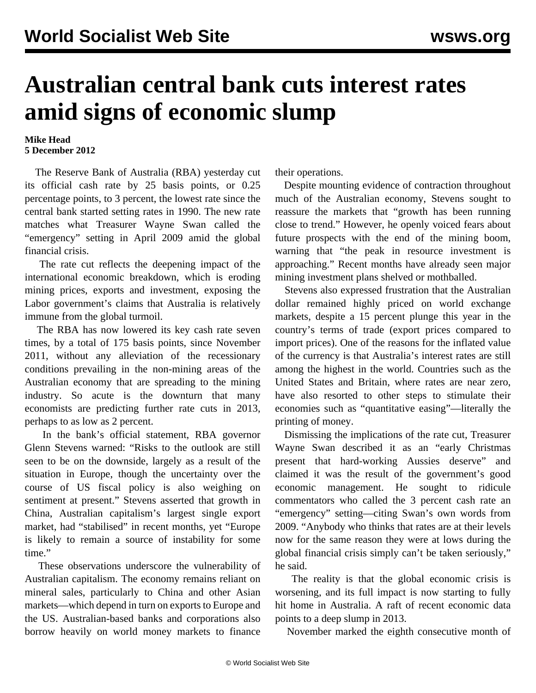## **Australian central bank cuts interest rates amid signs of economic slump**

## **Mike Head 5 December 2012**

 The Reserve Bank of Australia (RBA) yesterday cut its official cash rate by 25 basis points, or 0.25 percentage points, to 3 percent, the lowest rate since the central bank started setting rates in 1990. The new rate matches what Treasurer Wayne Swan called the "emergency" setting in April 2009 amid the global financial crisis.

 The rate cut reflects the deepening impact of the international economic breakdown, which is eroding mining prices, exports and investment, exposing the Labor government's claims that Australia is relatively immune from the global turmoil.

 The RBA has now lowered its key cash rate seven times, by a total of 175 basis points, since November 2011, without any alleviation of the recessionary conditions prevailing in the non-mining areas of the Australian economy that are spreading to the mining industry. So acute is the downturn that many economists are predicting further rate cuts in 2013, perhaps to as low as 2 percent.

 In the bank's official statement, RBA governor Glenn Stevens warned: "Risks to the outlook are still seen to be on the downside, largely as a result of the situation in Europe, though the uncertainty over the course of US fiscal policy is also weighing on sentiment at present." Stevens asserted that growth in China, Australian capitalism's largest single export market, had "stabilised" in recent months, yet "Europe is likely to remain a source of instability for some time."

 These observations underscore the vulnerability of Australian capitalism. The economy remains reliant on mineral sales, particularly to China and other Asian markets—which depend in turn on exports to Europe and the US. Australian-based banks and corporations also borrow heavily on world money markets to finance

their operations.

 Despite mounting evidence of contraction throughout much of the Australian economy, Stevens sought to reassure the markets that "growth has been running close to trend." However, he openly voiced fears about future prospects with the end of the mining boom, warning that "the peak in resource investment is approaching." Recent months have already seen major mining investment plans shelved or mothballed.

 Stevens also expressed frustration that the Australian dollar remained highly priced on world exchange markets, despite a 15 percent plunge this year in the country's terms of trade (export prices compared to import prices). One of the reasons for the inflated value of the currency is that Australia's interest rates are still among the highest in the world. Countries such as the United States and Britain, where rates are near zero, have also resorted to other steps to stimulate their economies such as "quantitative easing"—literally the printing of money.

 Dismissing the implications of the rate cut, Treasurer Wayne Swan described it as an "early Christmas present that hard-working Aussies deserve" and claimed it was the result of the government's good economic management. He sought to ridicule commentators who called the 3 percent cash rate an "emergency" setting—citing Swan's own words from 2009. "Anybody who thinks that rates are at their levels now for the same reason they were at lows during the global financial crisis simply can't be taken seriously," he said.

 The reality is that the global economic crisis is worsening, and its full impact is now starting to fully hit home in Australia. A raft of recent economic data points to a deep slump in 2013.

November marked the eighth consecutive month of